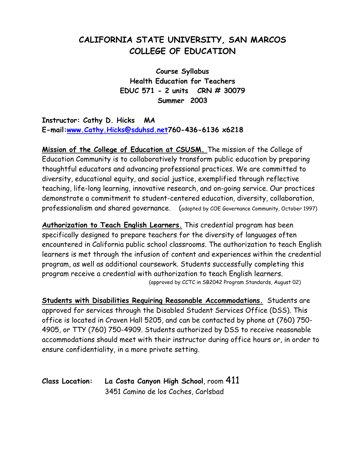# **CALIFORNIA STATE UNIVERSITY, SAN MARCOS COLLEGE OF EDUCATION**

**Course Syllabus Health Education for Teachers EDUC 571 - 2 units CRN # 30079 Summer 2003** 

**Instructor: Cathy D. Hicks MA E-mail:[www.Cathy.Hicks@sduhsd.net](http://www.Cathy.Hicks@sduhsd.net/)760-436-6136 x6218** 

**Mission of the College of Education at CSUSM.** The mission of the College of Education Community is to collaboratively transform public education by preparing thoughtful educators and advancing professional practices. We are committed to diversity, educational equity, and social justice, exemplified through reflective teaching, life-long learning, innovative research, and on-going service. Our practices demonstrate a commitment to student-centered education, diversity, collaboration, professionalism and shared governance. (adopted by COE Governance Community, October 1997)

**Authorization to Teach English Learners.** This credential program has been specifically designed to prepare teachers for the diversity of languages often encountered in California public school classrooms. The authorization to teach English learners is met through the infusion of content and experiences within the credential program, as well as additional coursework. Students successfully completing this program receive a credential with authorization to teach English learners. (approved by CCTC in SB2042 Program Standards, August 02)

**Students with Disabilities Requiring Reasonable Accommodations.** Students are approved for services through the Disabled Student Services Office (DSS). This office is located in Craven Hall 5205, and can be contacted by phone at (760) 750- 4905, or TTY (760) 750-4909. Students authorized by DSS to receive reasonable accommodations should meet with their instructor during office hours or, in order to ensure confidentiality, in a more private setting.

**Class Location: La Costa Canyon High School**, room 411 3451 Camino de los Coches, Carlsbad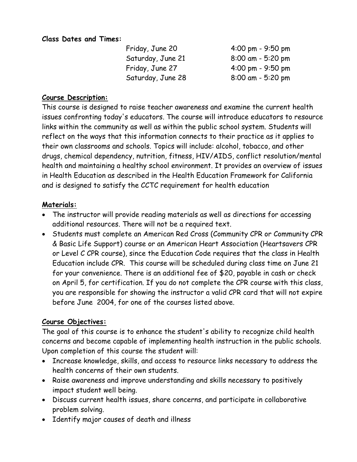#### **Class Dates and Times:**

| Friday, June 20   | $4:00 \text{ pm} - 9:50 \text{ pm}$ |
|-------------------|-------------------------------------|
| Saturday, June 21 | $8:00$ am - 5:20 pm                 |
| Friday, June 27   | $4:00 \text{ pm} - 9:50 \text{ pm}$ |
| Saturday, June 28 | $8:00$ am - 5:20 pm                 |

### **Course Description:**

This course is designed to raise teacher awareness and examine the current health issues confronting today's educators. The course will introduce educators to resource links within the community as well as within the public school system. Students will reflect on the ways that this information connects to their practice as it applies to their own classrooms and schools. Topics will include: alcohol, tobacco, and other drugs, chemical dependency, nutrition, fitness, HIV/AIDS, conflict resolution/mental health and maintaining a healthy school environment. It provides an overview of issues in Health Education as described in the Health Education Framework for California and is designed to satisfy the CCTC requirement for health education

### **Materials:**

- The instructor will provide reading materials as well as directions for accessing additional resources. There will not be a required text.
- Students must complete an American Red Cross (Community CPR or Community CPR & Basic Life Support) course or an American Heart Association (Heartsavers CPR or Level C CPR course), since the Education Code requires that the class in Health Education include CPR. This course will be scheduled during class time on June 21 for your convenience. There is an additional fee of \$20, payable in cash or check on April 5, for certification. If you do not complete the CPR course with this class, you are responsible for showing the instructor a valid CPR card that will not expire before June 2004, for one of the courses listed above.

### **Course Objectives:**

The goal of this course is to enhance the student's ability to recognize child health concerns and become capable of implementing health instruction in the public schools. Upon completion of this course the student will:

- Increase knowledge, skills, and access to resource links necessary to address the health concerns of their own students.
- Raise awareness and improve understanding and skills necessary to positively impact student well being.
- Discuss current health issues, share concerns, and participate in collaborative problem solving.
- Identify major causes of death and illness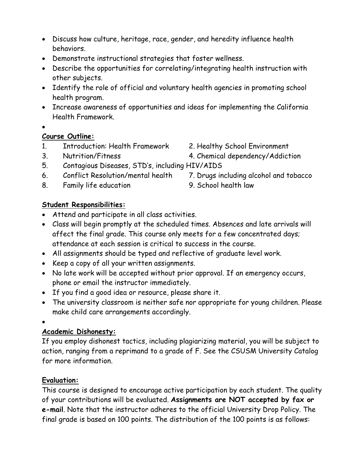- Discuss how culture, heritage, race, gender, and heredity influence health behaviors.
- Demonstrate instructional strategies that foster wellness.
- Describe the opportunities for correlating/integrating health instruction with other subjects.
- Identify the role of official and voluntary health agencies in promoting school health program.
- Increase awareness of opportunities and ideas for implementing the California Health Framework.
- •

## **Course Outline:**

- 1. Introduction: Health Framework 2. Healthy School Environment
- 
- 
- 3. Nutrition/Fitness 4. Chemical dependency/Addiction
- 5. Contagious Diseases, STD's, including HIV/AIDS
- 6. Conflict Resolution/mental health 7. Drugs including alcohol and tobacco
- 8. Family life education 9. School health law
- -

## **Student Responsibilities:**

- Attend and participate in all class activities.
- Class will begin promptly at the scheduled times. Absences and late arrivals will affect the final grade. This course only meets for a few concentrated days; attendance at each session is critical to success in the course.
- All assignments should be typed and reflective of graduate level work.
- Keep a copy of all your written assignments.
- No late work will be accepted without prior approval. If an emergency occurs, phone or email the instructor immediately.
- If you find a good idea or resource, please share it.
- The university classroom is neither safe nor appropriate for young children. Please make child care arrangements accordingly.

•

## **Academic Dishonesty:**

If you employ dishonest tactics, including plagiarizing material, you will be subject to action, ranging from a reprimand to a grade of F. See the CSUSM University Catalog for more information.

## **Evaluation:**

This course is designed to encourage active participation by each student. The quality of your contributions will be evaluated. **Assignments are NOT accepted by fax or e-mail**. Note that the instructor adheres to the official University Drop Policy. The final grade is based on 100 points. The distribution of the 100 points is as follows: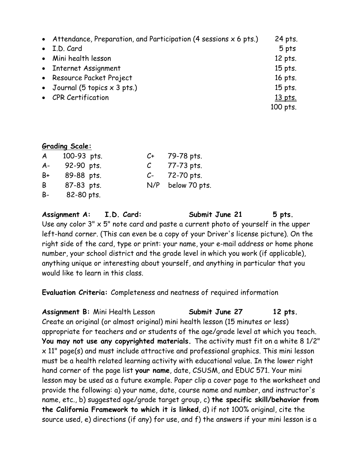| • Attendance, Preparation, and Participation (4 sessions $x$ 6 pts.) | 24 pts.  |
|----------------------------------------------------------------------|----------|
| • I.D. Card                                                          | 5 pts    |
| • Mini health lesson                                                 | 12 pts.  |
| • Internet Assignment                                                | 15 pts.  |
| • Resource Packet Project                                            | 16 pts.  |
| • Journal (5 topics $\times$ 3 pts.)                                 | 15 pts.  |
| • CPR Certification                                                  | 13 pts.  |
|                                                                      | 100 pts. |

#### **Grading Scale:**

| A         | 100-93 pts. | C+   | 79-78 pts.    |
|-----------|-------------|------|---------------|
| $A -$     | 92-90 pts.  |      | 77-73 pts.    |
| B+        | 89-88 pts.  | $C-$ | 72-70 pts.    |
| B         | 87-83 pts.  | N/P  | below 70 pts. |
| <b>B-</b> | 82-80 pts.  |      |               |

Assignment A: I.D. Card: Submit June 21 5 pts. Use any color  $3'' \times 5''$  note card and paste a current photo of yourself in the upper left-hand corner. (This can even be a copy of your Driver's license picture). On the right side of the card, type or print: your name, your e-mail address or home phone number, your school district and the grade level in which you work (if applicable), anything unique or interesting about yourself, and anything in particular that you would like to learn in this class.

**Evaluation Criteria:** Completeness and neatness of required information

Assignment B: Mini Health Lesson **Submit June 27** 12 pts. Create an original (or almost original) mini health lesson (15 minutes or less) appropriate for teachers and or students of the age/grade level at which you teach. **You may not use any copyrighted materials.** The activity must fit on a white 8 1/2" x 11" page(s) and must include attractive and professional graphics. This mini lesson must be a health related learning activity with educational value. In the lower right hand corner of the page list **your name**, date, CSUSM, and EDUC 571. Your mini lesson may be used as a future example. Paper clip a cover page to the worksheet and provide the following: a) your name, date, course name and number, and instructor's name, etc., b) suggested age/grade target group, c) **the specific skill/behavior from the California Framework to which it is linked**, d) if not 100% original, cite the source used, e) directions (if any) for use, and f) the answers if your mini lesson is a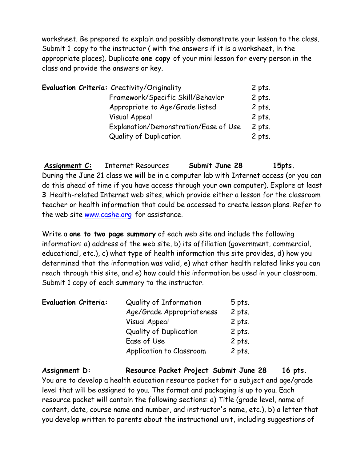worksheet. Be prepared to explain and possibly demonstrate your lesson to the class. Submit 1 copy to the instructor ( with the answers if it is a worksheet, in the appropriate places). Duplicate **one copy** of your mini lesson for every person in the class and provide the answers or key.

|  | Evaluation Criteria: Creativity/Originality | 2 pts.   |
|--|---------------------------------------------|----------|
|  | Framework/Specific Skill/Behavior           | $2$ pts. |
|  | Appropriate to Age/Grade listed             | $2$ pts. |
|  | <b>Visual Appeal</b>                        | $2$ pts. |
|  | Explanation/Demonstration/Ease of Use       | $2$ pts. |
|  | Quality of Duplication                      | $2$ pts. |

**Assignment C:** Internet Resources **Submit June 28 15pts.**  During the June 21 class we will be in a computer lab with Internet access (or you can do this ahead of time if you have access through your own computer). Explore at least **3** Health-related Internet web sites, which provide either a lesson for the classroom teacher or health information that could be accessed to create lesson plans. Refer to the web site [www.cashe.org](http://www.cashe.org/) for assistance.

Write a **one to two page summary** of each web site and include the following information: a) address of the web site, b) its affiliation (government, commercial, educational, etc.), c) what type of health information this site provides, d) how you determined that the information was valid, e) what other health related links you can reach through this site, and e) how could this information be used in your classroom. Submit 1 copy of each summary to the instructor.

| <b>Evaluation Criteria:</b> | Quality of Information        | $5$ pts. |
|-----------------------------|-------------------------------|----------|
|                             | Age/Grade Appropriateness     | $2$ pts. |
|                             | <b>Visual Appeal</b>          | $2$ pts. |
|                             | <b>Quality of Duplication</b> | $2$ pts. |
|                             | Ease of Use                   | $2$ pts. |
|                             | Application to Classroom      | $2$ pts. |

**Assignment D: Resource Packet Project Submit June 28 16 pts.**  You are to develop a health education resource packet for a subject and age/grade level that will be assigned to you. The format and packaging is up to you. Each resource packet will contain the following sections: a) Title (grade level, name of content, date, course name and number, and instructor's name, etc.), b) a letter that you develop written to parents about the instructional unit, including suggestions of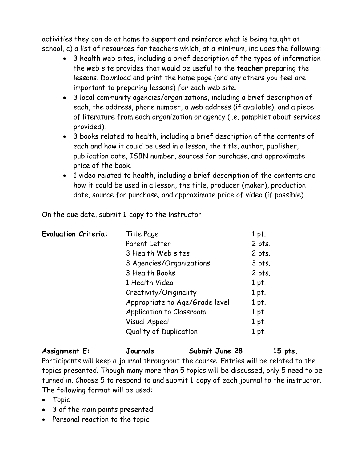activities they can do at home to support and reinforce what is being taught at school, c) a list of resources for teachers which, at a minimum, includes the following:

- 3 health web sites, including a brief description of the types of information the web site provides that would be useful to the **teacher** preparing the lessons. Download and print the home page (and any others you feel are important to preparing lessons) for each web site.
- 3 local community agencies/organizations, including a brief description of each, the address, phone number, a web address (if available), and a piece of literature from each organization or agency (i.e. pamphlet about services provided).
- 3 books related to health, including a brief description of the contents of each and how it could be used in a lesson, the title, author, publisher, publication date, ISBN number, sources for purchase, and approximate price of the book.
- 1 video related to health, including a brief description of the contents and how it could be used in a lesson, the title, producer (maker), production date, source for purchase, and approximate price of video (if possible).

On the due date, submit 1 copy to the instructor

| <b>Evaluation Criteria:</b> | Title Page                     | 1 pt.    |
|-----------------------------|--------------------------------|----------|
|                             | Parent Letter                  | $2$ pts. |
|                             | 3 Health Web sites             | 2 pts.   |
|                             | 3 Agencies/Organizations       | $3$ pts. |
|                             | 3 Health Books                 | $2$ pts. |
|                             | 1 Health Video                 | 1 pt.    |
|                             | Creativity/Originality         | 1 pt.    |
|                             | Appropriate to Age/Grade level | 1 pt.    |
|                             | Application to Classroom       | 1 pt.    |
|                             | Visual Appeal                  | 1 pt.    |
|                             | Quality of Duplication         | 1 pt.    |

| Assignment E: | Journals | Submit June 28 | 15 pts. |
|---------------|----------|----------------|---------|
| $\sim$ $\sim$ |          |                |         |

Participants will keep a journal throughout the course. Entries will be related to the topics presented. Though many more than 5 topics will be discussed, only 5 need to be turned in. Choose 5 to respond to and submit 1 copy of each journal to the instructor. The following format will be used:

- Topic
- 3 of the main points presented
- Personal reaction to the topic